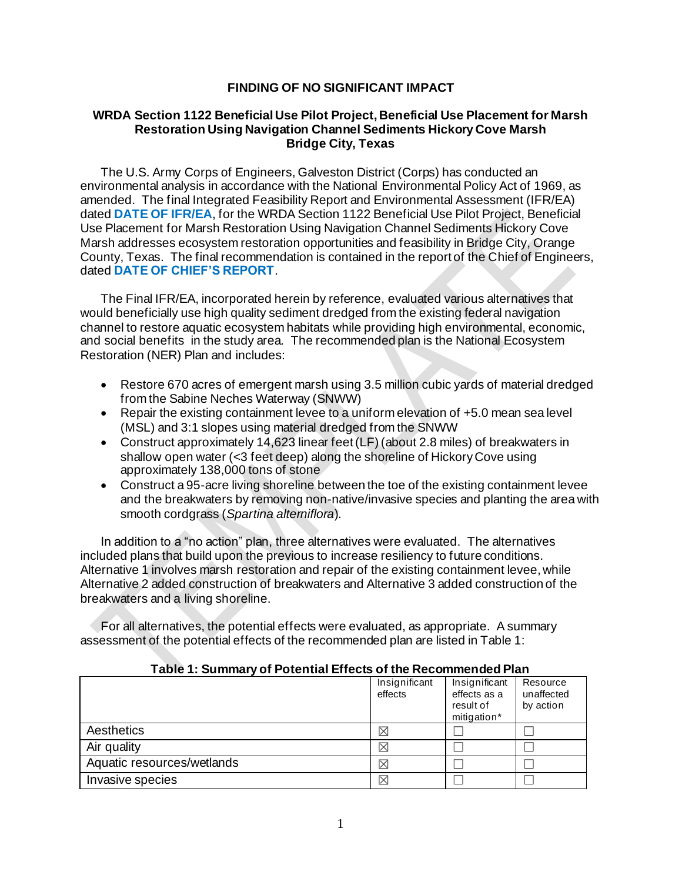## **FINDING OF NO SIGNIFICANT IMPACT**

## **WRDA Section 1122 Beneficial Use Pilot Project, Beneficial Use Placement for Marsh Restoration Using Navigation Channel Sediments Hickory Cove Marsh Bridge City, Texas**

The U.S. Army Corps of Engineers, Galveston District (Corps) has conducted an environmental analysis in accordance with the National Environmental Policy Act of 1969, as amended. The final Integrated Feasibility Report and Environmental Assessment (IFR/EA) dated **DATE OF IFR/EA**, for the WRDA Section 1122 Beneficial Use Pilot Project, Beneficial Use Placement for Marsh Restoration Using Navigation Channel Sediments Hickory Cove Marsh addresses ecosystem restoration opportunities and feasibility in Bridge City, Orange County, Texas. The final recommendation is contained in the report of the Chief of Engineers, dated **DATE OF CHIEF'S REPORT**.

The Final IFR/EA, incorporated herein by reference, evaluated various alternatives that would beneficially use high quality sediment dredged from the existing federal navigation channel to restore aquatic ecosystem habitats while providing high environmental, economic, and social benefits in the study area. The recommended plan is the National Ecosystem Restoration (NER) Plan and includes:

- Restore 670 acres of emergent marsh using 3.5 million cubic yards of material dredged from the Sabine Neches Waterway (SNWW)
- Repair the existing containment levee to a uniform elevation of +5.0 mean sea level (MSL) and 3:1 slopes using material dredged from the SNWW
- Construct approximately 14,623 linear feet (LF) (about 2.8 miles) of breakwaters in shallow open water (<3 feet deep) along the shoreline of Hickory Cove using approximately 138,000 tons of stone
- Construct a 95-acre living shoreline between the toe of the existing containment levee and the breakwaters by removing non-native/invasive species and planting the area with smooth cordgrass (*Spartina alterniflora*).

In addition to a "no action" plan, three alternatives were evaluated. The alternatives included plans that build upon the previous to increase resiliency to future conditions. Alternative 1 involves marsh restoration and repair of the existing containment levee, while Alternative 2 added construction of breakwaters and Alternative 3 added construction of the breakwaters and a living shoreline.

For all alternatives, the potential effects were evaluated, as appropriate. A summary assessment of the potential effects of the recommended plan are listed in Table 1:

## **Table 1: Summary of Potential Effects of the Recommended Plan**

|                            | Insignificant<br>effects | Insignificant<br>effects as a<br>result of<br>mitigation* | Resource<br>unaffected<br>by action |
|----------------------------|--------------------------|-----------------------------------------------------------|-------------------------------------|
| Aesthetics                 | $\boxtimes$              |                                                           |                                     |
| Air quality                | $\boxtimes$              |                                                           |                                     |
| Aquatic resources/wetlands | $\boxtimes$              |                                                           |                                     |
| Invasive species           | X                        |                                                           |                                     |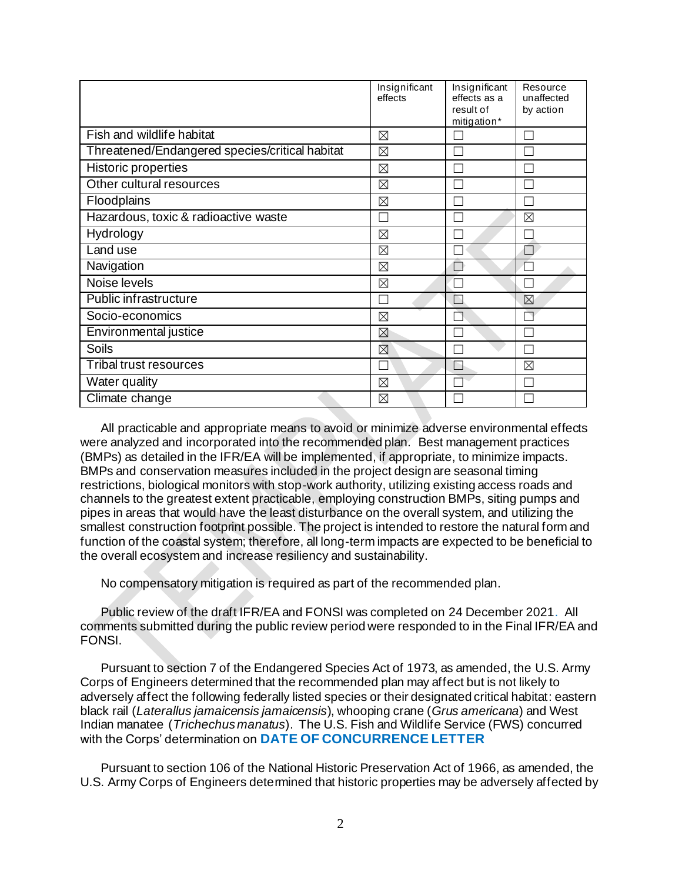|                                                | Insignificant<br>effects | Insignificant<br>effects as a<br>result of<br>mitigation* | Resource<br>unaffected<br>by action |
|------------------------------------------------|--------------------------|-----------------------------------------------------------|-------------------------------------|
| Fish and wildlife habitat                      | ⊠                        |                                                           |                                     |
| Threatened/Endangered species/critical habitat | $\boxtimes$              |                                                           |                                     |
| <b>Historic properties</b>                     | ⊠                        |                                                           |                                     |
| Other cultural resources                       | ⊠                        |                                                           |                                     |
| Floodplains                                    | ⊠                        |                                                           |                                     |
| Hazardous, toxic & radioactive waste           |                          |                                                           | ⊠                                   |
| Hydrology                                      | ⊠                        |                                                           |                                     |
| Land use                                       | ⊠                        |                                                           |                                     |
| Navigation                                     | ⊠                        |                                                           | Π                                   |
| Noise levels                                   | $\boxtimes$              |                                                           |                                     |
| Public infrastructure                          |                          |                                                           | $\boxtimes$                         |
| Socio-economics                                | ⊠                        |                                                           |                                     |
| Environmental justice                          | ⊠                        |                                                           |                                     |
| <b>Soils</b>                                   | ⊠                        |                                                           |                                     |
| <b>Tribal trust resources</b>                  |                          |                                                           | ⊠                                   |
| Water quality                                  | ⊠                        |                                                           |                                     |
| Climate change                                 | $\boxtimes$              |                                                           |                                     |

All practicable and appropriate means to avoid or minimize adverse environmental effects were analyzed and incorporated into the recommended plan. Best management practices (BMPs) as detailed in the IFR/EA will be implemented, if appropriate, to minimize impacts. BMPs and conservation measures included in the project design are seasonal timing restrictions, biological monitors with stop-work authority, utilizing existing access roads and channels to the greatest extent practicable, employing construction BMPs, siting pumps and pipes in areas that would have the least disturbance on the overall system, and utilizing the smallest construction footprint possible. The project is intended to restore the natural form and function of the coastal system; therefore, all long-term impacts are expected to be beneficial to the overall ecosystem and increase resiliency and sustainability.

No compensatory mitigation is required as part of the recommended plan.

Public review of the draft IFR/EA and FONSI was completed on 24 December 2021. All comments submitted during the public review period were responded to in the Final IFR/EA and FONSI.

Pursuant to section 7 of the Endangered Species Act of 1973, as amended, the U.S. Army Corps of Engineers determined that the recommended plan may affect but is not likely to adversely affect the following federally listed species or their designated critical habitat: eastern black rail (*Laterallus jamaicensis jamaicensis*), whooping crane (*Grus americana*) and West Indian manatee (*Trichechus manatus*). The U.S. Fish and Wildlife Service (FWS) concurred with the Corps' determination on **DATE OF CONCURRENCE LETTER**

Pursuant to section 106 of the National Historic Preservation Act of 1966, as amended, the U.S. Army Corps of Engineers determined that historic properties may be adversely affected by